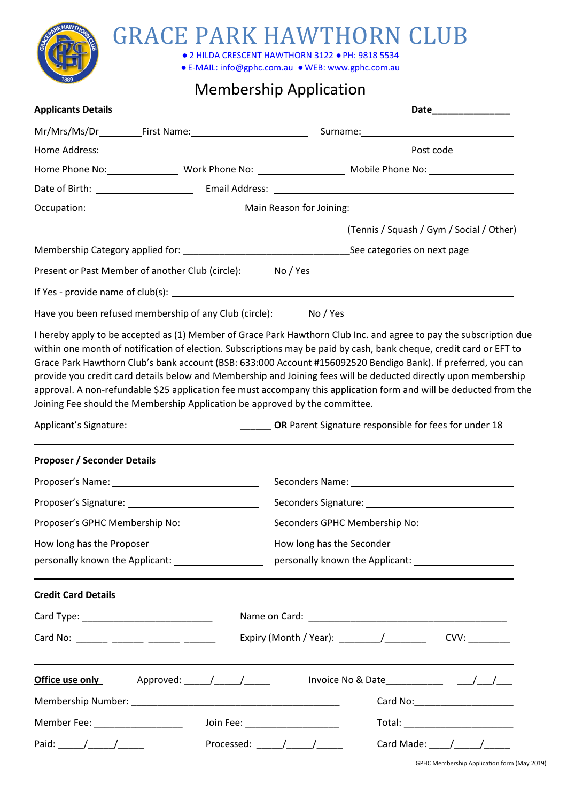

## GRACE PARK HAWTHORN CLUB

**●** 2 HILDA CRESCENT HAWTHORN 3122 **●**PH: 9818 5534

**●**E-MAIL: info@gphc.com.au **●**WEB: www.gphc.com.au

### Membership Application

| <b>Applicants Details</b> |                                                                 | Date________________                     |  |  |  |
|---------------------------|-----------------------------------------------------------------|------------------------------------------|--|--|--|
|                           |                                                                 |                                          |  |  |  |
|                           |                                                                 | Post code Post Code                      |  |  |  |
|                           |                                                                 |                                          |  |  |  |
|                           |                                                                 |                                          |  |  |  |
|                           |                                                                 |                                          |  |  |  |
|                           |                                                                 | (Tennis / Squash / Gym / Social / Other) |  |  |  |
|                           |                                                                 |                                          |  |  |  |
|                           | Present or Past Member of another Club (circle): No / Yes       |                                          |  |  |  |
|                           |                                                                 |                                          |  |  |  |
|                           | Have you been refused membership of any Club (circle): No / Yes |                                          |  |  |  |

I hereby apply to be accepted as (1) Member of Grace Park Hawthorn Club Inc. and agree to pay the subscription due within one month of notification of election. Subscriptions may be paid by cash, bank cheque, credit card or EFT to Grace Park Hawthorn Club's bank account (BSB: 633:000 Account #156092520 Bendigo Bank). If preferred, you can provide you credit card details below and Membership and Joining fees will be deducted directly upon membership approval. A non-refundable \$25 application fee must accompany this application form and will be deducted from the

Joining Fee should the Membership Application be approved by the committee.

Applicant's Signature: \_\_\_\_\_\_ **OR** Parent Signature responsible for fees for under 18

### **Proposer / Seconder Details**

| Proposer's GPHC Membership No:                                                                                                                                                                                                                                                                                                                                                                                           |                                                                                                                       |  |  |  |  |
|--------------------------------------------------------------------------------------------------------------------------------------------------------------------------------------------------------------------------------------------------------------------------------------------------------------------------------------------------------------------------------------------------------------------------|-----------------------------------------------------------------------------------------------------------------------|--|--|--|--|
| How long has the Proposer                                                                                                                                                                                                                                                                                                                                                                                                | How long has the Seconder                                                                                             |  |  |  |  |
| <b>Credit Card Details</b>                                                                                                                                                                                                                                                                                                                                                                                               |                                                                                                                       |  |  |  |  |
|                                                                                                                                                                                                                                                                                                                                                                                                                          |                                                                                                                       |  |  |  |  |
| Card No: _______ ______ ______ ______                                                                                                                                                                                                                                                                                                                                                                                    | Expiry (Month / Year): _________/___________                                                                          |  |  |  |  |
|                                                                                                                                                                                                                                                                                                                                                                                                                          | <u> 1989 - Johann Stoff, deutscher Stoffen und der Stoffen und der Stoffen und der Stoffen und der Stoffen und de</u> |  |  |  |  |
|                                                                                                                                                                                                                                                                                                                                                                                                                          |                                                                                                                       |  |  |  |  |
| Member Fee: __________________                                                                                                                                                                                                                                                                                                                                                                                           | Join Fee: New York State State State State State State State State State State State State State State State S        |  |  |  |  |
| Paid: $\frac{1}{\sqrt{1-\frac{1}{2}}}\frac{1}{\sqrt{1-\frac{1}{2}}}\frac{1}{\sqrt{1-\frac{1}{2}}}\frac{1}{\sqrt{1-\frac{1}{2}}}\frac{1}{\sqrt{1-\frac{1}{2}}}\frac{1}{\sqrt{1-\frac{1}{2}}}\frac{1}{\sqrt{1-\frac{1}{2}}}\frac{1}{\sqrt{1-\frac{1}{2}}}\frac{1}{\sqrt{1-\frac{1}{2}}}\frac{1}{\sqrt{1-\frac{1}{2}}}\frac{1}{\sqrt{1-\frac{1}{2}}}\frac{1}{\sqrt{1-\frac{1}{2}}}\frac{1}{\sqrt{1-\frac{1}{2}}}\frac{1}{\$ | Processed: $\sqrt{2\pi}$<br>Card Made: $\frac{1}{\sqrt{1-\frac{1}{2}}}\frac{1}{\sqrt{1-\frac{1}{2}}}}$                |  |  |  |  |

GPHC Membership Application form (May 2019)